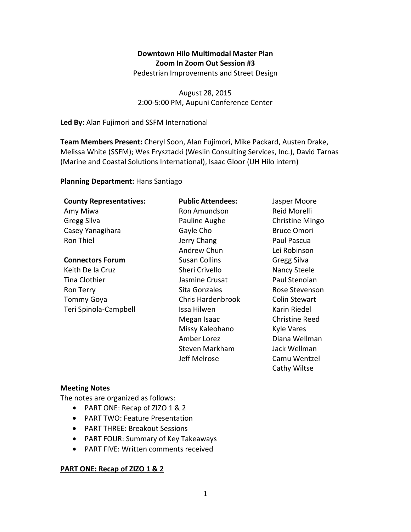# **Downtown Hilo Multimodal Master Plan Zoom In Zoom Out Session #3**

Pedestrian Improvements and Street Design

August 28, 2015 2:00-5:00 PM, Aupuni Conference Center

**Led By:** Alan Fujimori and SSFM International

**Team Members Present:** Cheryl Soon, Alan Fujimori, Mike Packard, Austen Drake, Melissa White (SSFM); Wes Frysztacki (Weslin Consulting Services, Inc.), David Tarnas (Marine and Coastal Solutions International), Isaac Gloor (UH Hilo intern)

#### **Planning Department:** Hans Santiago

### **County Representatives:**

Amy Miwa Gregg Silva Casey Yanagihara Ron Thiel

#### **Connectors Forum**

Keith De la Cruz Tina Clothier Ron Terry Tommy Goya Teri Spinola-Campbell

**Public Attendees:**  Ron Amundson Pauline Aughe Gayle Cho Jerry Chang Andrew Chun Susan Collins Sheri Crivello Jasmine Crusat Sita Gonzales Chris Hardenbrook Issa Hilwen Megan Isaac Missy Kaleohano Amber Lorez Steven Markham Jeff Melrose

Jasper Moore Reid Morelli Christine Mingo Bruce Omori Paul Pascua Lei Robinson Gregg Silva Nancy Steele Paul Stenoian Rose Stevenson Colin Stewart Karin Riedel Christine Reed Kyle Vares Diana Wellman Jack Wellman Camu Wentzel Cathy Wiltse

### **Meeting Notes**

The notes are organized as follows:

- PART ONE: Recap of ZIZO 1 & 2
- PART TWO: Feature Presentation
- PART THREE: Breakout Sessions
- PART FOUR: Summary of Key Takeaways
- PART FIVE: Written comments received

### **PART ONE: Recap of ZIZO 1 & 2**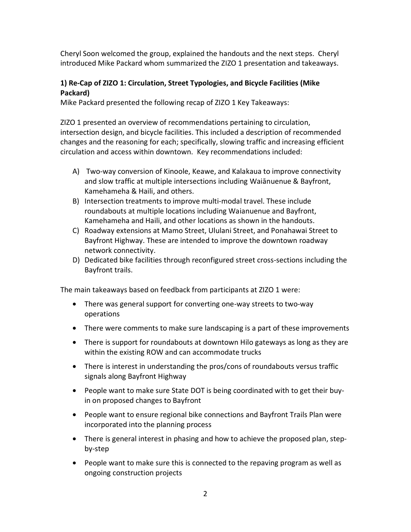Cheryl Soon welcomed the group, explained the handouts and the next steps. Cheryl introduced Mike Packard whom summarized the ZIZO 1 presentation and takeaways.

## **1) Re-Cap of ZIZO 1: Circulation, Street Typologies, and Bicycle Facilities (Mike Packard)**

Mike Packard presented the following recap of ZIZO 1 Key Takeaways:

ZIZO 1 presented an overview of recommendations pertaining to circulation, intersection design, and bicycle facilities. This included a description of recommended changes and the reasoning for each; specifically, slowing traffic and increasing efficient circulation and access within downtown. Key recommendations included:

- A) Two-way conversion of Kinoole, Keawe, and Kalakaua to improve connectivity and slow traffic at multiple intersections including Waiānuenue & Bayfront, Kamehameha & Haili, and others.
- B) Intersection treatments to improve multi-modal travel. These include roundabouts at multiple locations including Waianuenue and Bayfront, Kamehameha and Haili, and other locations as shown in the handouts.
- C) Roadway extensions at Mamo Street, Ululani Street, and Ponahawai Street to Bayfront Highway. These are intended to improve the downtown roadway network connectivity.
- D) Dedicated bike facilities through reconfigured street cross-sections including the Bayfront trails.

The main takeaways based on feedback from participants at ZIZO 1 were:

- There was general support for converting one-way streets to two-way operations
- There were comments to make sure landscaping is a part of these improvements
- There is support for roundabouts at downtown Hilo gateways as long as they are within the existing ROW and can accommodate trucks
- There is interest in understanding the pros/cons of roundabouts versus traffic signals along Bayfront Highway
- People want to make sure State DOT is being coordinated with to get their buyin on proposed changes to Bayfront
- People want to ensure regional bike connections and Bayfront Trails Plan were incorporated into the planning process
- There is general interest in phasing and how to achieve the proposed plan, stepby-step
- People want to make sure this is connected to the repaving program as well as ongoing construction projects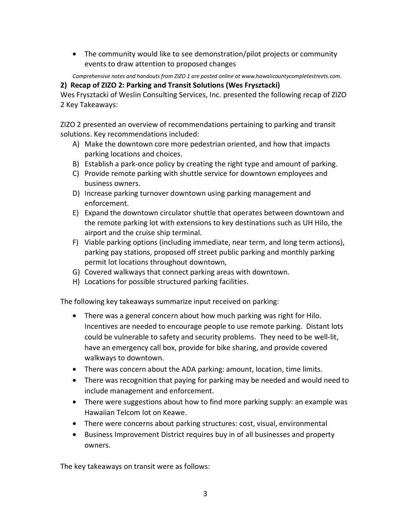• The community would like to see demonstration/pilot projects or community events to draw attention to proposed changes

*Comprehensive notes and handouts from ZIZO 1 are posted online at www.hawaiicountycompletestreets.com.* 

**2) Recap of ZIZO 2: Parking and Transit Solutions (Wes Frysztacki)** 

Wes Frysztacki of Weslin Consulting Services, Inc. presented the following recap of ZIZO 2 Key Takeaways:

ZIZO 2 presented an overview of recommendations pertaining to parking and transit solutions. Key recommendations included:

- A) Make the downtown core more pedestrian oriented, and how that impacts parking locations and choices.
- B) Establish a park-once policy by creating the right type and amount of parking.
- C) Provide remote parking with shuttle service for downtown employees and business owners.
- D) Increase parking turnover downtown using parking management and enforcement.
- E) Expand the downtown circulator shuttle that operates between downtown and the remote parking lot with extensions to key destinations such as UH Hilo, the airport and the cruise ship terminal.
- F) Viable parking options (including immediate, near term, and long term actions), parking pay stations, proposed off street public parking and monthly parking permit lot locations throughout downtown,
- G) Covered walkways that connect parking areas with downtown.
- H) Locations for possible structured parking facilities.

The following key takeaways summarize input received on parking:

- There was a general concern about how much parking was right for Hilo. Incentives are needed to encourage people to use remote parking. Distant lots could be vulnerable to safety and security problems. They need to be well-lit, have an emergency call box, provide for bike sharing, and provide covered walkways to downtown.
- There was concern about the ADA parking: amount, location, time limits.
- There was recognition that paying for parking may be needed and would need to include management and enforcement.
- There were suggestions about how to find more parking supply: an example was Hawaiian Telcom lot on Keawe.
- There were concerns about parking structures: cost, visual, environmental
- Business Improvement District requires buy in of all businesses and property owners.

The key takeaways on transit were as follows: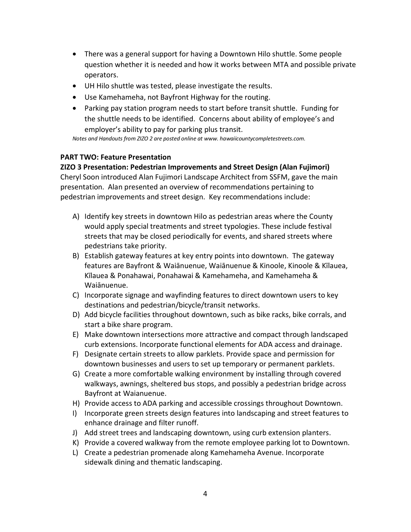- There was a general support for having a Downtown Hilo shuttle. Some people question whether it is needed and how it works between MTA and possible private operators.
- UH Hilo shuttle was tested, please investigate the results.
- Use Kamehameha, not Bayfront Highway for the routing.
- Parking pay station program needs to start before transit shuttle. Funding for the shuttle needs to be identified. Concerns about ability of employee's and employer's ability to pay for parking plus transit.

*Notes and Handouts from ZIZO 2 are posted online at www. hawaiicountycompletestreets.com.* 

## **PART TWO: Feature Presentation**

**ZIZO 3 Presentation: Pedestrian Improvements and Street Design (Alan Fujimori)**  Cheryl Soon introduced Alan Fujimori Landscape Architect from SSFM, gave the main presentation. Alan presented an overview of recommendations pertaining to pedestrian improvements and street design. Key recommendations include:

- A) Identify key streets in downtown Hilo as pedestrian areas where the County would apply special treatments and street typologies. These include festival streets that may be closed periodically for events, and shared streets where pedestrians take priority.
- B) Establish gateway features at key entry points into downtown. The gateway features are Bayfront & Waiānuenue, Waiānuenue & Kinoole, Kinoole & Kīlauea, Kīlauea & Ponahawai, Ponahawai & Kamehameha, and Kamehameha & Waiānuenue.
- C) Incorporate signage and wayfinding features to direct downtown users to key destinations and pedestrian/bicycle/transit networks.
- D) Add bicycle facilities throughout downtown, such as bike racks, bike corrals, and start a bike share program.
- E) Make downtown intersections more attractive and compact through landscaped curb extensions. Incorporate functional elements for ADA access and drainage.
- F) Designate certain streets to allow parklets. Provide space and permission for downtown businesses and users to set up temporary or permanent parklets.
- G) Create a more comfortable walking environment by installing through covered walkways, awnings, sheltered bus stops, and possibly a pedestrian bridge across Bayfront at Waianuenue.
- H) Provide access to ADA parking and accessible crossings throughout Downtown.
- I) Incorporate green streets design features into landscaping and street features to enhance drainage and filter runoff.
- J) Add street trees and landscaping downtown, using curb extension planters.
- K) Provide a covered walkway from the remote employee parking lot to Downtown.
- L) Create a pedestrian promenade along Kamehameha Avenue. Incorporate sidewalk dining and thematic landscaping.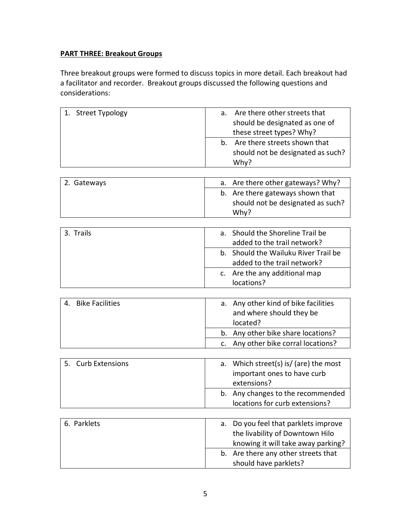## **PART THREE: Breakout Groups**

Three breakout groups were formed to discuss topics in more detail. Each breakout had a facilitator and recorder. Breakout groups discussed the following questions and considerations:

| 1. Street Typology           | Are there other streets that<br>a.                         |
|------------------------------|------------------------------------------------------------|
|                              | should be designated as one of<br>these street types? Why? |
|                              | Are there streets shown that<br>b.                         |
|                              | should not be designated as such?                          |
|                              | Why?                                                       |
|                              |                                                            |
| 2. Gateways                  | Are there other gateways? Why?<br>a.                       |
|                              | b. Are there gateways shown that                           |
|                              | should not be designated as such?<br>Why?                  |
|                              |                                                            |
| 3. Trails                    | Should the Shoreline Trail be<br>a.                        |
|                              | added to the trail network?                                |
|                              | Should the Wailuku River Trail be<br>b.                    |
|                              | added to the trail network?                                |
|                              | Are the any additional map<br>$\mathsf{C}$ .               |
|                              | locations?                                                 |
|                              |                                                            |
| <b>Bike Facilities</b><br>4. | Any other kind of bike facilities<br>а.                    |
|                              | and where should they be                                   |
|                              | located?                                                   |
|                              | Any other bike share locations?<br>b.                      |
|                              | Any other bike corral locations?<br>$\mathsf{C}$ .         |
|                              |                                                            |
| 5.<br><b>Curb Extensions</b> | Which street(s) is/ (are) the most<br>a.                   |
|                              | important ones to have curb                                |
|                              | extensions?                                                |
|                              | Any changes to the recommended<br>b.                       |
|                              | locations for curb extensions?                             |
|                              |                                                            |
| 6. Parklets                  | Do you feel that parklets improve<br>a.                    |
|                              | the livability of Downtown Hilo                            |
|                              | knowing it will take away parking?                         |
|                              | Are there any other streets that<br>b.                     |

should have parklets?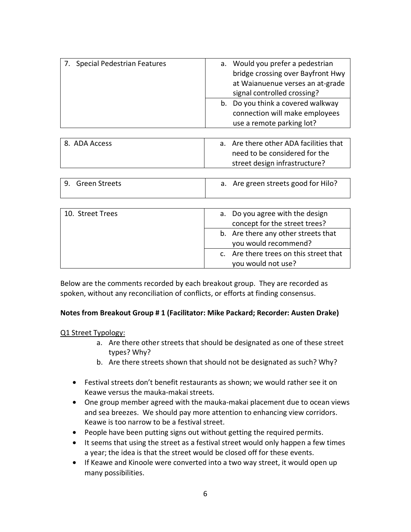| 7. Special Pedestrian Features | Would you prefer a pedestrian<br>а.<br>bridge crossing over Bayfront Hwy<br>at Waianuenue verses an at-grade<br>signal controlled crossing? |
|--------------------------------|---------------------------------------------------------------------------------------------------------------------------------------------|
|                                | b. Do you think a covered walkway<br>connection will make employees<br>use a remote parking lot?                                            |
|                                |                                                                                                                                             |
|                                |                                                                                                                                             |

| 8. ADA Access | a. Are there other ADA facilities that |
|---------------|----------------------------------------|
|               | need to be considered for the          |
|               | street design infrastructure?          |

| 9. Green Streets |  | a. Are green streets good for Hilo? |
|------------------|--|-------------------------------------|
|                  |  |                                     |

| 10. Street Trees | a. Do you agree with the design        |
|------------------|----------------------------------------|
|                  | concept for the street trees?          |
|                  | b. Are there any other streets that    |
|                  | you would recommend?                   |
|                  | c. Are there trees on this street that |
|                  | you would not use?                     |

Below are the comments recorded by each breakout group. They are recorded as spoken, without any reconciliation of conflicts, or efforts at finding consensus.

### **Notes from Breakout Group # 1 (Facilitator: Mike Packard; Recorder: Austen Drake)**

#### Q1 Street Typology:

- a. Are there other streets that should be designated as one of these street types? Why?
- b. Are there streets shown that should not be designated as such? Why?
- Festival streets don't benefit restaurants as shown; we would rather see it on Keawe versus the mauka-makai streets.
- One group member agreed with the mauka-makai placement due to ocean views and sea breezes. We should pay more attention to enhancing view corridors. Keawe is too narrow to be a festival street.
- People have been putting signs out without getting the required permits.
- It seems that using the street as a festival street would only happen a few times a year; the idea is that the street would be closed off for these events.
- If Keawe and Kinoole were converted into a two way street, it would open up many possibilities.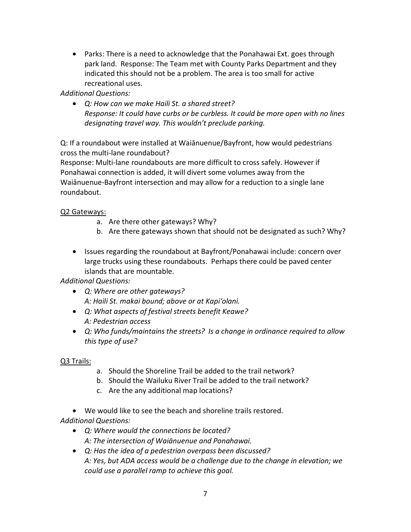• Parks: There is a need to acknowledge that the Ponahawai Ext. goes through park land. Response: The Team met with County Parks Department and they indicated this should not be a problem. The area is too small for active recreational uses.

*Additional Questions:* 

• *Q: How can we make Haili St. a shared street? Response: It could have curbs or be curbless. It could be more open with no lines designating travel way. This wouldn't preclude parking.* 

Q: If a roundabout were installed at Waiānuenue/Bayfront, how would pedestrians cross the multi-lane roundabout?

Response: Multi-lane roundabouts are more difficult to cross safely. However if Ponahawai connection is added, it will divert some volumes away from the Waiānuenue-Bayfront intersection and may allow for a reduction to a single lane roundabout.

## Q2 Gateways:

- a. Are there other gateways? Why?
- b. Are there gateways shown that should not be designated as such? Why?
- Issues regarding the roundabout at Bayfront/Ponahawai include: concern over large trucks using these roundabouts. Perhaps there could be paved center islands that are mountable.

*Additional Questions:* 

- *Q: Where are other gateways? A: Haili St. makai bound; above or at Kapi'olani.*
- *Q: What aspects of festival streets benefit Keawe? A: Pedestrian access*
- *Q: Who funds/maintains the streets? Is a change in ordinance required to allow this type of use?*

# Q3 Trails:

- a. Should the Shoreline Trail be added to the trail network?
- b. Should the Wailuku River Trail be added to the trail network?
- c. Are the any additional map locations?
- We would like to see the beach and shoreline trails restored.
- *Additional Questions:* 
	- *Q: Where would the connections be located? A: The intersection of Waiānuenue and Ponahawai.*
	- *Q: Has the idea of a pedestrian overpass been discussed? A: Yes, but ADA access would be a challenge due to the change in elevation; we could use a parallel ramp to achieve this goal.*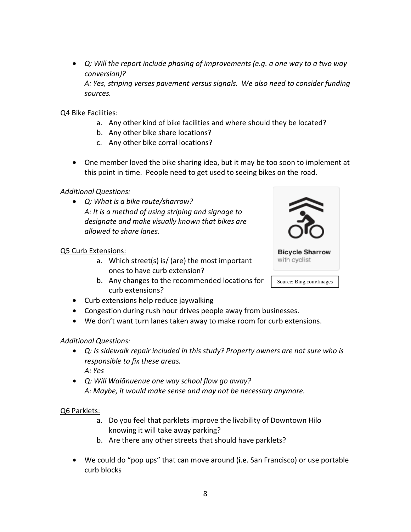• *Q: Will the report include phasing of improvements (e.g. a one way to a two way conversion)? A: Yes, striping verses pavement versus signals. We also need to consider funding sources.* 

## Q4 Bike Facilities:

- a. Any other kind of bike facilities and where should they be located?
- b. Any other bike share locations?
- c. Any other bike corral locations?
- One member loved the bike sharing idea, but it may be too soon to implement at this point in time. People need to get used to seeing bikes on the road.

### *Additional Questions:*

• *Q: What is a bike route/sharrow? A: It is a method of using striping and signage to designate and make visually known that bikes are allowed to share lanes.* 

### Q5 Curb Extensions:

- a. Which street(s) is/ (are) the most important ones to have curb extension?
- b. Any changes to the recommended locations for curb extensions?



- Congestion during rush hour drives people away from businesses.
- We don't want turn lanes taken away to make room for curb extensions.

### *Additional Questions:*

- *Q: Is sidewalk repair included in this study? Property owners are not sure who is responsible to fix these areas. A: Yes*
- *Q: Will Waiānuenue one way school flow go away? A: Maybe, it would make sense and may not be necessary anymore.*

### Q6 Parklets:

- a. Do you feel that parklets improve the livability of Downtown Hilo knowing it will take away parking?
- b. Are there any other streets that should have parklets?
- We could do "pop ups" that can move around (i.e. San Francisco) or use portable curb blocks

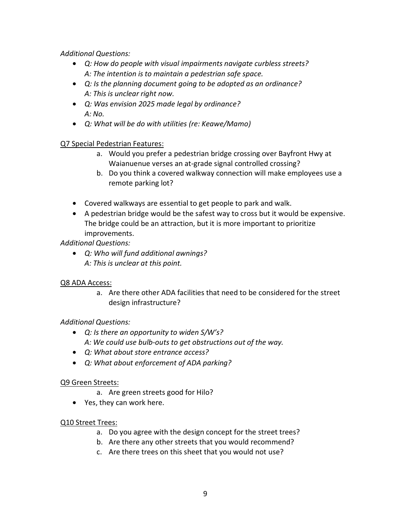*Additional Questions:* 

- *Q: How do people with visual impairments navigate curbless streets? A: The intention is to maintain a pedestrian safe space.*
- *Q: Is the planning document going to be adopted as an ordinance? A: This is unclear right now.*
- *Q: Was envision 2025 made legal by ordinance? A: No.*
- *Q: What will be do with utilities (re: Keawe/Mamo)*

Q7 Special Pedestrian Features:

- a. Would you prefer a pedestrian bridge crossing over Bayfront Hwy at Waianuenue verses an at-grade signal controlled crossing?
- b. Do you think a covered walkway connection will make employees use a remote parking lot?
- Covered walkways are essential to get people to park and walk.
- A pedestrian bridge would be the safest way to cross but it would be expensive. The bridge could be an attraction, but it is more important to prioritize improvements.

*Additional Questions:* 

• *Q: Who will fund additional awnings? A: This is unclear at this point.* 

# Q8 ADA Access:

a. Are there other ADA facilities that need to be considered for the street design infrastructure?

# *Additional Questions:*

- *Q: Is there an opportunity to widen S/W's? A: We could use bulb-outs to get obstructions out of the way.*
- *Q: What about store entrance access?*
- *Q: What about enforcement of ADA parking?*

# Q9 Green Streets:

- a. Are green streets good for Hilo?
- Yes, they can work here.

## Q10 Street Trees:

- a. Do you agree with the design concept for the street trees?
- b. Are there any other streets that you would recommend?
- c. Are there trees on this sheet that you would not use?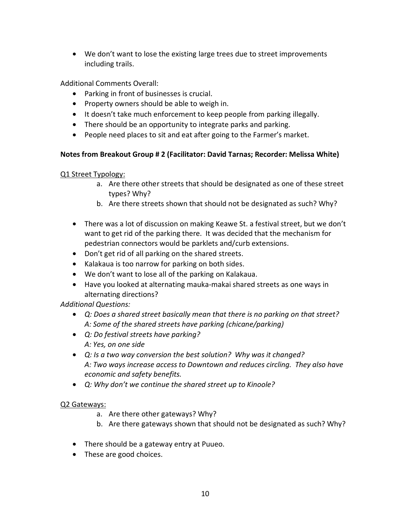• We don't want to lose the existing large trees due to street improvements including trails.

Additional Comments Overall:

- Parking in front of businesses is crucial.
- Property owners should be able to weigh in.
- It doesn't take much enforcement to keep people from parking illegally.
- There should be an opportunity to integrate parks and parking.
- People need places to sit and eat after going to the Farmer's market.

## **Notes from Breakout Group # 2 (Facilitator: David Tarnas; Recorder: Melissa White)**

## Q1 Street Typology:

- a. Are there other streets that should be designated as one of these street types? Why?
- b. Are there streets shown that should not be designated as such? Why?
- There was a lot of discussion on making Keawe St. a festival street, but we don't want to get rid of the parking there. It was decided that the mechanism for pedestrian connectors would be parklets and/curb extensions.
- Don't get rid of all parking on the shared streets.
- Kalakaua is too narrow for parking on both sides.
- We don't want to lose all of the parking on Kalakaua.
- Have you looked at alternating mauka-makai shared streets as one ways in alternating directions?

## *Additional Questions:*

- *Q: Does a shared street basically mean that there is no parking on that street? A: Some of the shared streets have parking (chicane/parking)*
- *Q: Do festival streets have parking? A: Yes, on one side*
- *Q: Is a two way conversion the best solution? Why was it changed? A: Two ways increase access to Downtown and reduces circling. They also have economic and safety benefits.*
- *Q: Why don't we continue the shared street up to Kinoole?*

## Q2 Gateways:

- a. Are there other gateways? Why?
- b. Are there gateways shown that should not be designated as such? Why?
- There should be a gateway entry at Puueo.
- These are good choices.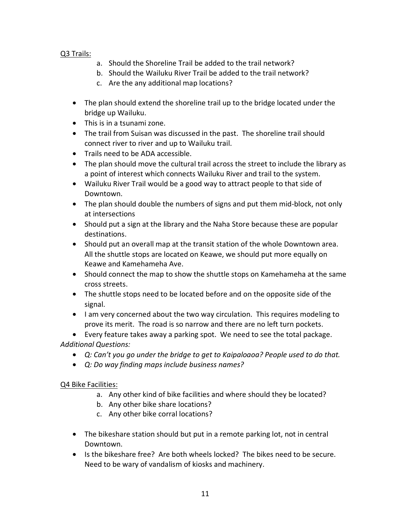## Q3 Trails:

- a. Should the Shoreline Trail be added to the trail network?
- b. Should the Wailuku River Trail be added to the trail network?
- c. Are the any additional map locations?
- The plan should extend the shoreline trail up to the bridge located under the bridge up Wailuku.
- This is in a tsunami zone.
- The trail from Suisan was discussed in the past. The shoreline trail should connect river to river and up to Wailuku trail.
- Trails need to be ADA accessible.
- The plan should move the cultural trail across the street to include the library as a point of interest which connects Wailuku River and trail to the system.
- Wailuku River Trail would be a good way to attract people to that side of Downtown.
- The plan should double the numbers of signs and put them mid-block, not only at intersections
- Should put a sign at the library and the Naha Store because these are popular destinations.
- Should put an overall map at the transit station of the whole Downtown area. All the shuttle stops are located on Keawe, we should put more equally on Keawe and Kamehameha Ave.
- Should connect the map to show the shuttle stops on Kamehameha at the same cross streets.
- The shuttle stops need to be located before and on the opposite side of the signal.
- I am very concerned about the two way circulation. This requires modeling to prove its merit. The road is so narrow and there are no left turn pockets.
- Every feature takes away a parking spot. We need to see the total package. *Additional Questions:* 
	- *Q: Can't you go under the bridge to get to Kaipaloaoa? People used to do that.*
	- *Q: Do way finding maps include business names?*

Q4 Bike Facilities:

- a. Any other kind of bike facilities and where should they be located?
- b. Any other bike share locations?
- c. Any other bike corral locations?
- The bikeshare station should but put in a remote parking lot, not in central Downtown.
- Is the bikeshare free? Are both wheels locked? The bikes need to be secure. Need to be wary of vandalism of kiosks and machinery.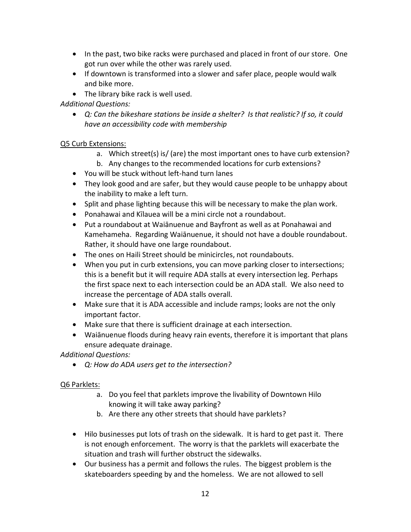- In the past, two bike racks were purchased and placed in front of our store. One got run over while the other was rarely used.
- If downtown is transformed into a slower and safer place, people would walk and bike more.
- The library bike rack is well used.

## *Additional Questions:*

• *Q: Can the bikeshare stations be inside a shelter? Is that realistic? If so, it could have an accessibility code with membership* 

## Q5 Curb Extensions:

- a. Which street(s) is/ (are) the most important ones to have curb extension?
- b. Any changes to the recommended locations for curb extensions?
- You will be stuck without left-hand turn lanes
- They look good and are safer, but they would cause people to be unhappy about the inability to make a left turn.
- Split and phase lighting because this will be necessary to make the plan work.
- Ponahawai and Kīlauea will be a mini circle not a roundabout.
- Put a roundabout at Waiānuenue and Bayfront as well as at Ponahawai and Kamehameha. Regarding Waiānuenue, it should not have a double roundabout. Rather, it should have one large roundabout.
- The ones on Haili Street should be minicircles, not roundabouts.
- When you put in curb extensions, you can move parking closer to intersections; this is a benefit but it will require ADA stalls at every intersection leg. Perhaps the first space next to each intersection could be an ADA stall. We also need to increase the percentage of ADA stalls overall.
- Make sure that it is ADA accessible and include ramps; looks are not the only important factor.
- Make sure that there is sufficient drainage at each intersection.
- Waiānuenue floods during heavy rain events, therefore it is important that plans ensure adequate drainage.

*Additional Questions:* 

• *Q: How do ADA users get to the intersection?* 

## Q6 Parklets:

- a. Do you feel that parklets improve the livability of Downtown Hilo knowing it will take away parking?
- b. Are there any other streets that should have parklets?
- Hilo businesses put lots of trash on the sidewalk. It is hard to get past it. There is not enough enforcement. The worry is that the parklets will exacerbate the situation and trash will further obstruct the sidewalks.
- Our business has a permit and follows the rules. The biggest problem is the skateboarders speeding by and the homeless. We are not allowed to sell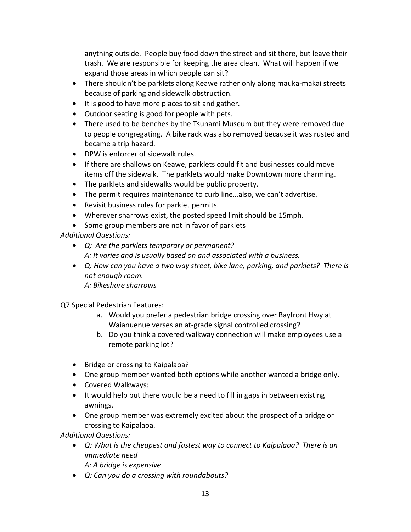anything outside. People buy food down the street and sit there, but leave their trash. We are responsible for keeping the area clean. What will happen if we expand those areas in which people can sit?

- There shouldn't be parklets along Keawe rather only along mauka-makai streets because of parking and sidewalk obstruction.
- It is good to have more places to sit and gather.
- Outdoor seating is good for people with pets.
- There used to be benches by the Tsunami Museum but they were removed due to people congregating. A bike rack was also removed because it was rusted and became a trip hazard.
- DPW is enforcer of sidewalk rules.
- If there are shallows on Keawe, parklets could fit and businesses could move items off the sidewalk. The parklets would make Downtown more charming.
- The parklets and sidewalks would be public property.
- The permit requires maintenance to curb line…also, we can't advertise.
- Revisit business rules for parklet permits.
- Wherever sharrows exist, the posted speed limit should be 15mph.
- Some group members are not in favor of parklets

*Additional Questions:* 

- *Q: Are the parklets temporary or permanent? A: It varies and is usually based on and associated with a business.*
- *Q: How can you have a two way street, bike lane, parking, and parklets? There is not enough room. A: Bikeshare sharrows*

# Q7 Special Pedestrian Features:

- a. Would you prefer a pedestrian bridge crossing over Bayfront Hwy at Waianuenue verses an at-grade signal controlled crossing?
- b. Do you think a covered walkway connection will make employees use a remote parking lot?
- Bridge or crossing to Kaipalaoa?
- One group member wanted both options while another wanted a bridge only.
- Covered Walkways:
- It would help but there would be a need to fill in gaps in between existing awnings.
- One group member was extremely excited about the prospect of a bridge or crossing to Kaipalaoa.

*Additional Questions:* 

- *Q: What is the cheapest and fastest way to connect to Kaipalaoa? There is an immediate need* 
	- *A: A bridge is expensive*
- *Q: Can you do a crossing with roundabouts?*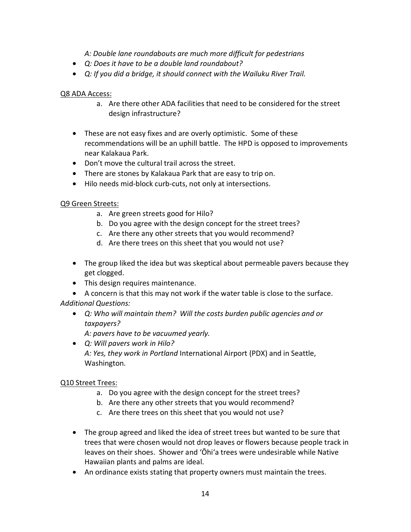*A: Double lane roundabouts are much more difficult for pedestrians* 

- *Q: Does it have to be a double land roundabout?*
- *Q: If you did a bridge, it should connect with the Wailuku River Trail.*

## Q8 ADA Access:

- a. Are there other ADA facilities that need to be considered for the street design infrastructure?
- These are not easy fixes and are overly optimistic. Some of these recommendations will be an uphill battle. The HPD is opposed to improvements near Kalakaua Park.
- Don't move the cultural trail across the street.
- There are stones by Kalakaua Park that are easy to trip on.
- Hilo needs mid-block curb-cuts, not only at intersections.

### Q9 Green Streets:

- a. Are green streets good for Hilo?
- b. Do you agree with the design concept for the street trees?
- c. Are there any other streets that you would recommend?
- d. Are there trees on this sheet that you would not use?
- The group liked the idea but was skeptical about permeable pavers because they get clogged.
- This design requires maintenance.
- A concern is that this may not work if the water table is close to the surface. *Additional Questions:* 
	- *Q: Who will maintain them? Will the costs burden public agencies and or taxpayers?*

*A: pavers have to be vacuumed yearly.* 

• *Q: Will pavers work in Hilo? A: Yes, they work in Portland* International Airport (PDX) and in Seattle, Washington.

## Q10 Street Trees:

- a. Do you agree with the design concept for the street trees?
- b. Are there any other streets that you would recommend?
- c. Are there trees on this sheet that you would not use?
- The group agreed and liked the idea of street trees but wanted to be sure that trees that were chosen would not drop leaves or flowers because people track in leaves on their shoes. Shower and 'Ōhi'a trees were undesirable while Native Hawaiian plants and palms are ideal.
- An ordinance exists stating that property owners must maintain the trees.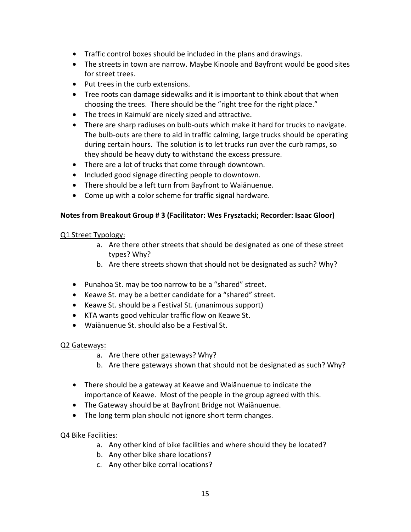- Traffic control boxes should be included in the plans and drawings.
- The streets in town are narrow. Maybe Kinoole and Bayfront would be good sites for street trees.
- Put trees in the curb extensions.
- Tree roots can damage sidewalks and it is important to think about that when choosing the trees. There should be the "right tree for the right place."
- The trees in Kaimukī are nicely sized and attractive.
- There are sharp radiuses on bulb-outs which make it hard for trucks to navigate. The bulb-outs are there to aid in traffic calming, large trucks should be operating during certain hours. The solution is to let trucks run over the curb ramps, so they should be heavy duty to withstand the excess pressure.
- There are a lot of trucks that come through downtown.
- Included good signage directing people to downtown.
- There should be a left turn from Bayfront to Waiānuenue.
- Come up with a color scheme for traffic signal hardware.

### **Notes from Breakout Group # 3 (Facilitator: Wes Frysztacki; Recorder: Isaac Gloor)**

### Q1 Street Typology:

- a. Are there other streets that should be designated as one of these street types? Why?
- b. Are there streets shown that should not be designated as such? Why?
- Punahoa St. may be too narrow to be a "shared" street.
- Keawe St. may be a better candidate for a "shared" street.
- Keawe St. should be a Festival St. (unanimous support)
- KTA wants good vehicular traffic flow on Keawe St.
- Waiānuenue St. should also be a Festival St.

## Q2 Gateways:

- a. Are there other gateways? Why?
- b. Are there gateways shown that should not be designated as such? Why?
- There should be a gateway at Keawe and Waiānuenue to indicate the importance of Keawe. Most of the people in the group agreed with this.
- The Gateway should be at Bayfront Bridge not Waiānuenue.
- The long term plan should not ignore short term changes.

## Q4 Bike Facilities:

- a. Any other kind of bike facilities and where should they be located?
- b. Any other bike share locations?
- c. Any other bike corral locations?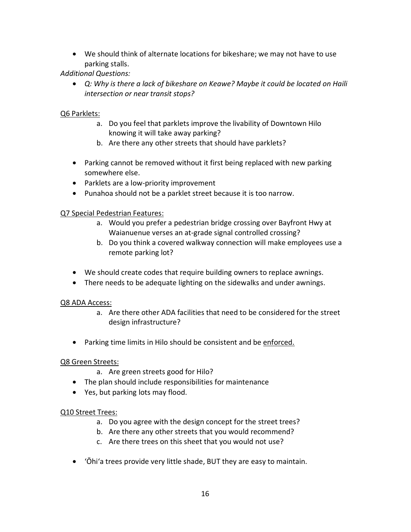• We should think of alternate locations for bikeshare; we may not have to use parking stalls.

*Additional Questions:* 

• *Q: Why is there a lack of bikeshare on Keawe? Maybe it could be located on Haili intersection or near transit stops?* 

## Q6 Parklets:

- a. Do you feel that parklets improve the livability of Downtown Hilo knowing it will take away parking?
- b. Are there any other streets that should have parklets?
- Parking cannot be removed without it first being replaced with new parking somewhere else.
- Parklets are a low-priority improvement
- Punahoa should not be a parklet street because it is too narrow.

## Q7 Special Pedestrian Features:

- a. Would you prefer a pedestrian bridge crossing over Bayfront Hwy at Waianuenue verses an at-grade signal controlled crossing?
- b. Do you think a covered walkway connection will make employees use a remote parking lot?
- We should create codes that require building owners to replace awnings.
- There needs to be adequate lighting on the sidewalks and under awnings.

## Q8 ADA Access:

- a. Are there other ADA facilities that need to be considered for the street design infrastructure?
- Parking time limits in Hilo should be consistent and be enforced.

## Q8 Green Streets:

- a. Are green streets good for Hilo?
- The plan should include responsibilities for maintenance
- Yes, but parking lots may flood.

## Q10 Street Trees:

- a. Do you agree with the design concept for the street trees?
- b. Are there any other streets that you would recommend?
- c. Are there trees on this sheet that you would not use?
- 'Ōhi'a trees provide very little shade, BUT they are easy to maintain.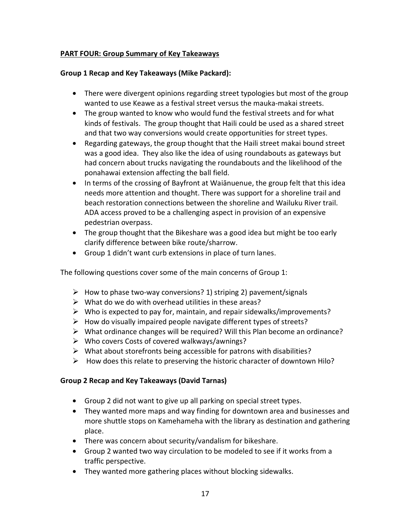## **PART FOUR: Group Summary of Key Takeaways**

### **Group 1 Recap and Key Takeaways (Mike Packard):**

- There were divergent opinions regarding street typologies but most of the group wanted to use Keawe as a festival street versus the mauka-makai streets.
- The group wanted to know who would fund the festival streets and for what kinds of festivals. The group thought that Haili could be used as a shared street and that two way conversions would create opportunities for street types.
- Regarding gateways, the group thought that the Haili street makai bound street was a good idea. They also like the idea of using roundabouts as gateways but had concern about trucks navigating the roundabouts and the likelihood of the ponahawai extension affecting the ball field.
- In terms of the crossing of Bayfront at Waiānuenue, the group felt that this idea needs more attention and thought. There was support for a shoreline trail and beach restoration connections between the shoreline and Wailuku River trail. ADA access proved to be a challenging aspect in provision of an expensive pedestrian overpass.
- The group thought that the Bikeshare was a good idea but might be too early clarify difference between bike route/sharrow.
- Group 1 didn't want curb extensions in place of turn lanes.

The following questions cover some of the main concerns of Group 1:

- $\triangleright$  How to phase two-way conversions? 1) striping 2) pavement/signals
- $\triangleright$  What do we do with overhead utilities in these areas?
- $\triangleright$  Who is expected to pay for, maintain, and repair sidewalks/improvements?
- $\triangleright$  How do visually impaired people navigate different types of streets?
- $\triangleright$  What ordinance changes will be required? Will this Plan become an ordinance?
- $\triangleright$  Who covers Costs of covered walkways/awnings?
- $\triangleright$  What about storefronts being accessible for patrons with disabilities?
- $\triangleright$  How does this relate to preserving the historic character of downtown Hilo?

## **Group 2 Recap and Key Takeaways (David Tarnas)**

- Group 2 did not want to give up all parking on special street types.
- They wanted more maps and way finding for downtown area and businesses and more shuttle stops on Kamehameha with the library as destination and gathering place.
- There was concern about security/vandalism for bikeshare.
- Group 2 wanted two way circulation to be modeled to see if it works from a traffic perspective.
- They wanted more gathering places without blocking sidewalks.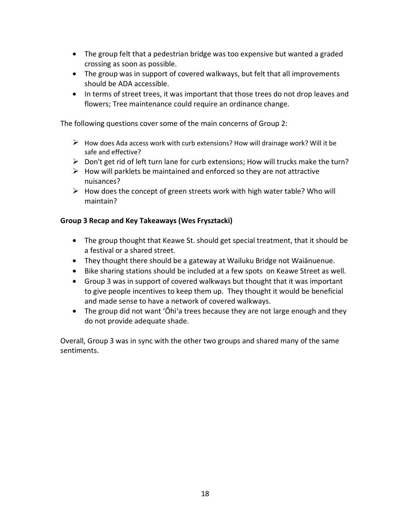- The group felt that a pedestrian bridge was too expensive but wanted a graded crossing as soon as possible.
- The group was in support of covered walkways, but felt that all improvements should be ADA accessible.
- In terms of street trees, it was important that those trees do not drop leaves and flowers; Tree maintenance could require an ordinance change.

The following questions cover some of the main concerns of Group 2:

- $\triangleright$  How does Ada access work with curb extensions? How will drainage work? Will it be safe and effective?
- $\triangleright$  Don't get rid of left turn lane for curb extensions; How will trucks make the turn?
- $\triangleright$  How will parklets be maintained and enforced so they are not attractive nuisances?
- $\triangleright$  How does the concept of green streets work with high water table? Who will maintain?

### **Group 3 Recap and Key Takeaways (Wes Frysztacki)**

- The group thought that Keawe St. should get special treatment, that it should be a festival or a shared street.
- They thought there should be a gateway at Wailuku Bridge not Waiānuenue.
- Bike sharing stations should be included at a few spots on Keawe Street as well.
- Group 3 was in support of covered walkways but thought that it was important to give people incentives to keep them up. They thought it would be beneficial and made sense to have a network of covered walkways.
- The group did not want 'Ōhi'a trees because they are not large enough and they do not provide adequate shade.

Overall, Group 3 was in sync with the other two groups and shared many of the same sentiments.